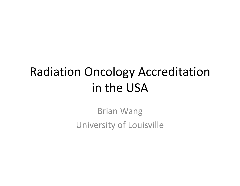## Radiation Oncology Accreditation in the USA

Brian Wang University of Louisville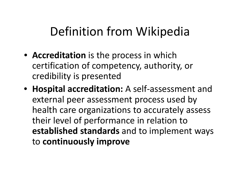## Definition from Wikipedia

- **Accreditation** is the process in which certification of competency, authority, or credibility is presented
- **Hospital accreditation:** A self‐assessment and external peer assessment process used by health care organizations to accurately assess their level of performance in relation to **established standards** and to implement ways to **continuously improve**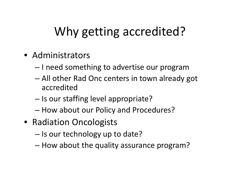# Why getting accredited?

- Administrators
	- $-$  I need something to advertise our program
	- – All other Rad Onc centers in town already got accredited
	- $-$  Is our staffing level appropriate?
	- How about our Policy and Procedures?
- Radiation Oncologists
	- – $-$  Is our technology up to date?
	- How about the quality assurance program?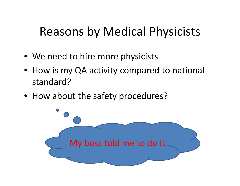### Reasons by Medical Physicists

- We need to hire more physicists
- How is my QA activity compared to national standard?
- How about the safety procedures?

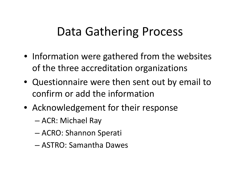#### Data Gathering Process

- Information were gathered from the websites of the three accreditation organizations
- Questionnaire were then sent out by email to confirm or add the information
- Acknowledgement for their response
	- ACR: Michael Ray
	- –ACRO: Shannon Sperati
	- ASTRO: Samantha Dawes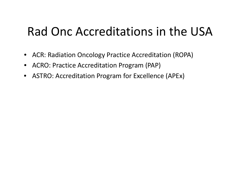### Rad Onc Accreditations in the USA

- ACR: Radiation Oncology Practice Accreditation (ROPA)
- $\bullet$ ACRO: Practice Accreditation Program (PAP)
- ASTRO: Accreditation Program for Excellence (APEx)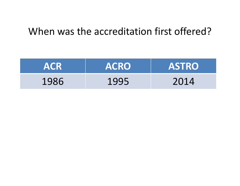#### When was the accreditation first offered?

| <b>ACR</b> | <b>ACRO</b> | <b>ASTRO</b> |
|------------|-------------|--------------|
| 1986       | 1995        | 2014         |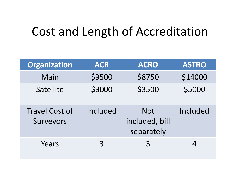#### Cost and Length of Accreditation

| <b>Organization</b>                | <b>ACR</b>  | <b>ACRO</b>                                | <b>ASTRO</b> |
|------------------------------------|-------------|--------------------------------------------|--------------|
| Main                               | \$9500      | \$8750                                     | \$14000      |
| <b>Satellite</b>                   | \$3000      | \$3500                                     | \$5000       |
| <b>Travel Cost of</b><br>Surveyors | Included    | <b>Not</b><br>included, bill<br>separately | Included     |
| Years                              | $\mathsf R$ | 3                                          |              |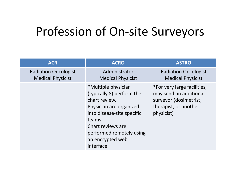#### Profession of On‐site Surveyors

| <b>ACR</b>                                              | <b>ACRO</b>                                                                                                                                                                                                             | <b>ASTRO</b>                                                                                                           |
|---------------------------------------------------------|-------------------------------------------------------------------------------------------------------------------------------------------------------------------------------------------------------------------------|------------------------------------------------------------------------------------------------------------------------|
| <b>Radiation Oncologist</b><br><b>Medical Physicist</b> | Administrator<br><b>Medical Physicist</b>                                                                                                                                                                               | <b>Radiation Oncologist</b><br><b>Medical Physicist</b>                                                                |
|                                                         | *Multiple physician<br>(typically 8) perform the<br>chart review.<br>Physician are organized<br>into disease-site specific<br>teams.<br>Chart reviews are<br>performed remotely using<br>an encrypted web<br>interface. | *For very large facilities,<br>may send an additional<br>surveyor (dosimetrist,<br>therapist, or another<br>physicist) |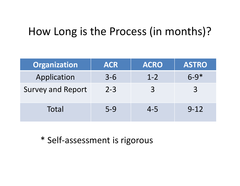#### How Long is the Process (in months)?

| <b>Organization</b>      | <b>ACR</b> | <b>ACRO</b> | <b>ASTRO</b> |
|--------------------------|------------|-------------|--------------|
| Application              | $3 - 6$    | $1 - 2$     | $6 - 9*$     |
| <b>Survey and Report</b> | $2 - 3$    | 3           | 3            |
| Total                    | $5-9$      | $4 - 5$     | $9 - 12$     |

\* Self‐assessment is rigorous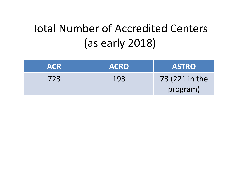#### Total Number of Accredited Centers (as early 2018)

| <b>ACR</b> | <b>ACRO</b> | <b>ASTRO</b>   |
|------------|-------------|----------------|
| 723        | 193         | 73 (221 in the |
|            |             | program)       |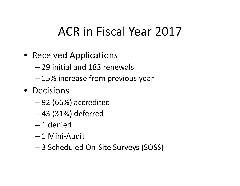## ACR in Fiscal Year 2017

- Received Applications
	- 29 initial and 183 renewals
	- 15% increase from previous year
- Decisions
	- 92 (66%) accredited
	- –43 (31%) deferred
	- 1 denied
	- 1 Mini‐Audit
	- 3 Scheduled On‐Site Surveys (SOSS)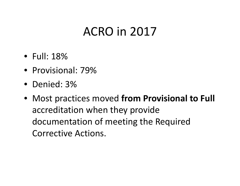#### ACRO in 2017

- Full: 18%
- Provisional: 79%
- Denied: 3%
- Most practices moved **from Provisional to Full** accreditation when they provide documentation of meeting the Required Corrective Actions.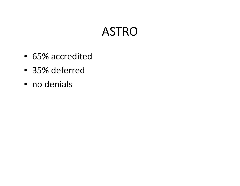#### ASTRO

- 65% accredited
- 35% deferred
- no denials